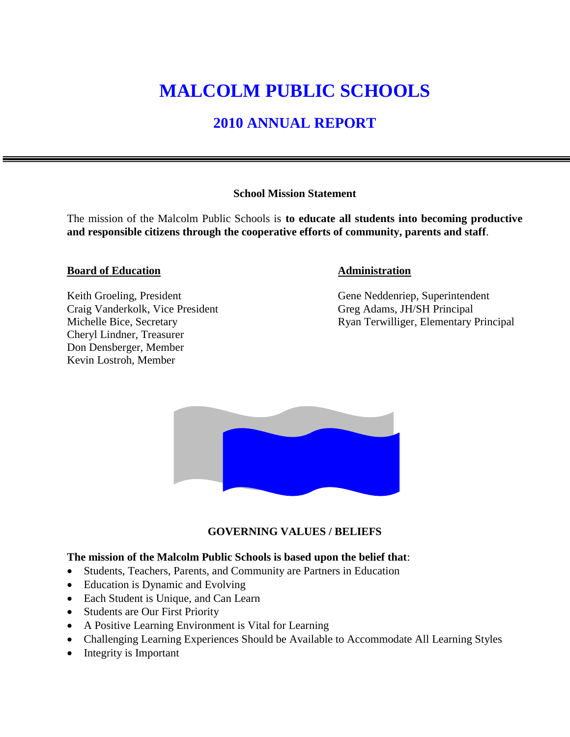# **MALCOLM PUBLIC SCHOOLS**

# **2010 ANNUAL REPORT**

# **School Mission Statement**

The mission of the Malcolm Public Schools is **to educate all students into becoming productive and responsible citizens through the cooperative efforts of community, parents and staff**.

# **Board of Education Administration**

Craig Vanderkolk, Vice President Greg Adams, JH/SH Principal Cheryl Lindner, Treasurer Don Densberger, Member Kevin Lostroh, Member

Keith Groeling, President Gene Neddenriep, Superintendent Michelle Bice, Secretary **Ryan Terwilliger**, Elementary Principal



# **GOVERNING VALUES / BELIEFS**

# **The mission of the Malcolm Public Schools is based upon the belief that**:

- Students, Teachers, Parents, and Community are Partners in Education
- Education is Dynamic and Evolving
- Each Student is Unique, and Can Learn
- Students are Our First Priority
- A Positive Learning Environment is Vital for Learning
- Challenging Learning Experiences Should be Available to Accommodate All Learning Styles
- Integrity is Important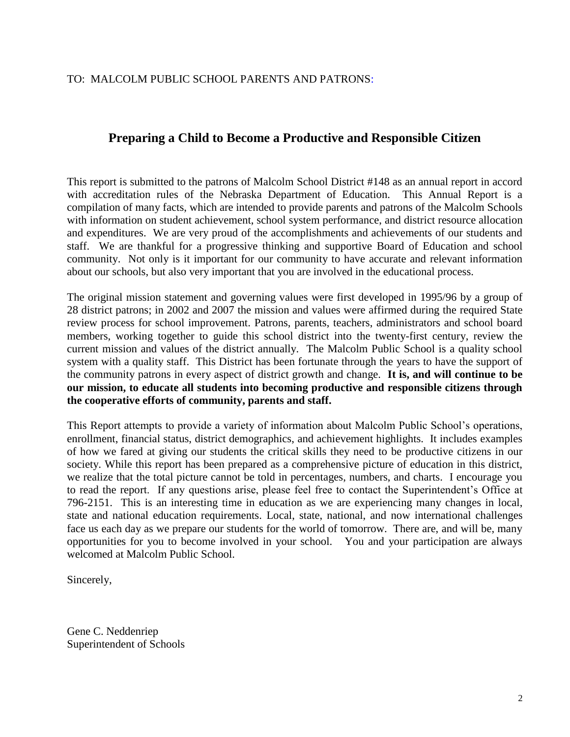# TO: MALCOLM PUBLIC SCHOOL PARENTS AND PATRONS:

# **Preparing a Child to Become a Productive and Responsible Citizen**

This report is submitted to the patrons of Malcolm School District #148 as an annual report in accord with accreditation rules of the Nebraska Department of Education. This Annual Report is a compilation of many facts, which are intended to provide parents and patrons of the Malcolm Schools with information on student achievement, school system performance, and district resource allocation and expenditures. We are very proud of the accomplishments and achievements of our students and staff. We are thankful for a progressive thinking and supportive Board of Education and school community. Not only is it important for our community to have accurate and relevant information about our schools, but also very important that you are involved in the educational process.

The original mission statement and governing values were first developed in 1995/96 by a group of 28 district patrons; in 2002 and 2007 the mission and values were affirmed during the required State review process for school improvement. Patrons, parents, teachers, administrators and school board members, working together to guide this school district into the twenty-first century, review the current mission and values of the district annually. The Malcolm Public School is a quality school system with a quality staff. This District has been fortunate through the years to have the support of the community patrons in every aspect of district growth and change. **It is, and will continue to be our mission, to educate all students into becoming productive and responsible citizens through the cooperative efforts of community, parents and staff.** 

This Report attempts to provide a variety of information about Malcolm Public School's operations, enrollment, financial status, district demographics, and achievement highlights. It includes examples of how we fared at giving our students the critical skills they need to be productive citizens in our society. While this report has been prepared as a comprehensive picture of education in this district, we realize that the total picture cannot be told in percentages, numbers, and charts. I encourage you to read the report. If any questions arise, please feel free to contact the Superintendent's Office at 796-2151. This is an interesting time in education as we are experiencing many changes in local, state and national education requirements. Local, state, national, and now international challenges face us each day as we prepare our students for the world of tomorrow. There are, and will be, many opportunities for you to become involved in your school. You and your participation are always welcomed at Malcolm Public School.

Sincerely,

Gene C. Neddenriep Superintendent of Schools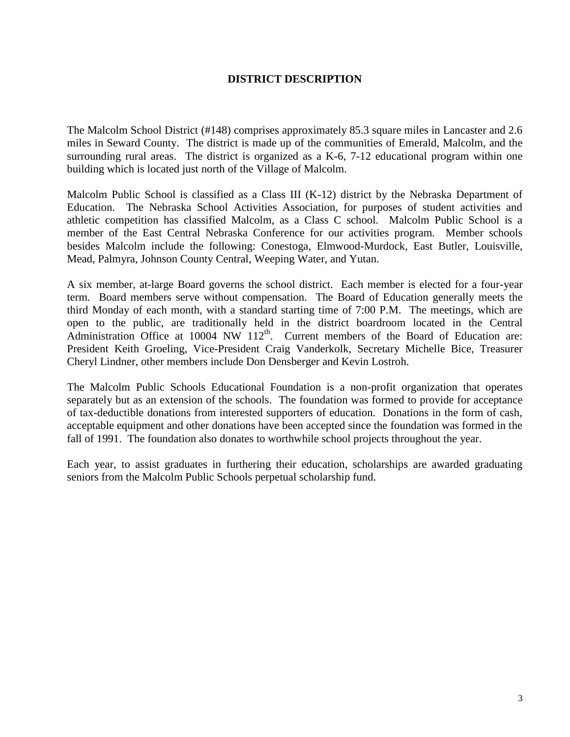# **DISTRICT DESCRIPTION**

The Malcolm School District (#148) comprises approximately 85.3 square miles in Lancaster and 2.6 miles in Seward County. The district is made up of the communities of Emerald, Malcolm, and the surrounding rural areas. The district is organized as a K-6, 7-12 educational program within one building which is located just north of the Village of Malcolm.

Malcolm Public School is classified as a Class III (K-12) district by the Nebraska Department of Education. The Nebraska School Activities Association, for purposes of student activities and athletic competition has classified Malcolm, as a Class C school. Malcolm Public School is a member of the East Central Nebraska Conference for our activities program. Member schools besides Malcolm include the following: Conestoga, Elmwood-Murdock, East Butler, Louisville, Mead, Palmyra, Johnson County Central, Weeping Water, and Yutan.

A six member, at-large Board governs the school district. Each member is elected for a four-year term. Board members serve without compensation. The Board of Education generally meets the third Monday of each month, with a standard starting time of 7:00 P.M. The meetings, which are open to the public, are traditionally held in the district boardroom located in the Central Administration Office at  $10004$  NW  $112<sup>th</sup>$ . Current members of the Board of Education are: President Keith Groeling, Vice-President Craig Vanderkolk, Secretary Michelle Bice, Treasurer Cheryl Lindner, other members include Don Densberger and Kevin Lostroh.

The Malcolm Public Schools Educational Foundation is a non-profit organization that operates separately but as an extension of the schools. The foundation was formed to provide for acceptance of tax-deductible donations from interested supporters of education. Donations in the form of cash, acceptable equipment and other donations have been accepted since the foundation was formed in the fall of 1991. The foundation also donates to worthwhile school projects throughout the year.

Each year, to assist graduates in furthering their education, scholarships are awarded graduating seniors from the Malcolm Public Schools perpetual scholarship fund.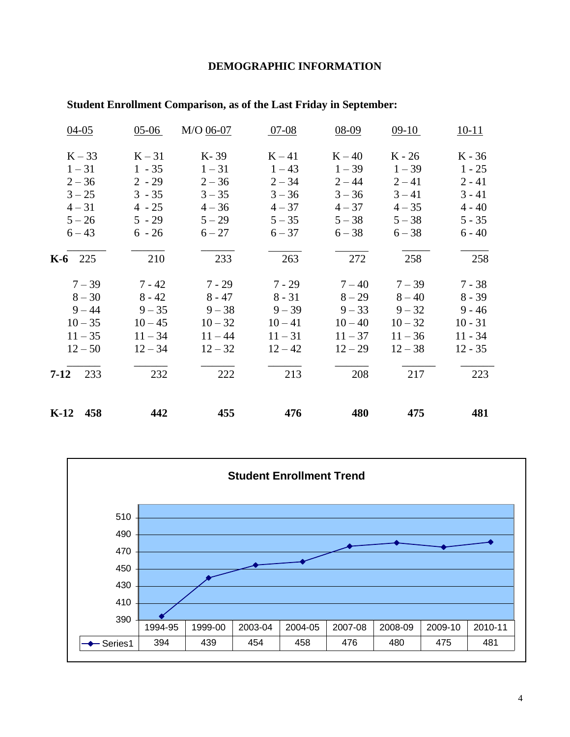# **DEMOGRAPHIC INFORMATION**

| $04 - 05$                                                                      | $05-06$                                                                        | M/O 06-07                                                                        | $07 - 08$                                                                      | $08 - 09$                                                                        | $09-10$                                                                        | $10-11$                                                                          |
|--------------------------------------------------------------------------------|--------------------------------------------------------------------------------|----------------------------------------------------------------------------------|--------------------------------------------------------------------------------|----------------------------------------------------------------------------------|--------------------------------------------------------------------------------|----------------------------------------------------------------------------------|
| $K-33$<br>$1 - 31$<br>$2 - 36$<br>$3 - 25$<br>$4 - 31$<br>$5 - 26$<br>$6 - 43$ | $K-31$<br>$1 - 35$<br>$2 - 29$<br>$3 - 35$<br>$4 - 25$<br>$5 - 29$<br>$6 - 26$ | $K - 39$<br>$1 - 31$<br>$2 - 36$<br>$3 - 35$<br>$4 - 36$<br>$5 - 29$<br>$6 - 27$ | $K-41$<br>$1 - 43$<br>$2 - 34$<br>$3 - 36$<br>$4 - 37$<br>$5 - 35$<br>$6 - 37$ | $K - 40$<br>$1 - 39$<br>$2 - 44$<br>$3 - 36$<br>$4 - 37$<br>$5 - 38$<br>$6 - 38$ | K - 26<br>$1 - 39$<br>$2 - 41$<br>$3 - 41$<br>$4 - 35$<br>$5 - 38$<br>$6 - 38$ | $K - 36$<br>$1 - 25$<br>$2 - 41$<br>$3 - 41$<br>$4 - 40$<br>$5 - 35$<br>$6 - 40$ |
| $K-6$ 225                                                                      | 210                                                                            | 233                                                                              | 263                                                                            | 272                                                                              | 258                                                                            | 258                                                                              |
| $7 - 39$<br>$8 - 30$<br>$9 - 44$<br>$10 - 35$<br>$11 - 35$<br>$12 - 50$        | $7 - 42$<br>$8 - 42$<br>$9 - 35$<br>$10 - 45$<br>$11 - 34$<br>$12 - 34$        | $7 - 29$<br>$8 - 47$<br>$9 - 38$<br>$10 - 32$<br>$11 - 44$<br>$12 - 32$          | $7 - 29$<br>$8 - 31$<br>$9 - 39$<br>$10 - 41$<br>$11 - 31$<br>$12 - 42$        | $7 - 40$<br>$8 - 29$<br>$9 - 33$<br>$10 - 40$<br>$11 - 37$<br>$12 - 29$          | $7 - 39$<br>$8 - 40$<br>$9 - 32$<br>$10 - 32$<br>$11 - 36$<br>$12 - 38$        | $7 - 38$<br>$8 - 39$<br>$9 - 46$<br>$10 - 31$<br>$11 - 34$<br>$12 - 35$          |
| 7-12<br>233                                                                    | 232                                                                            | 222                                                                              | 213                                                                            | 208                                                                              | 217                                                                            | 223                                                                              |
| K-12<br>458                                                                    | 442                                                                            | 455                                                                              | 476                                                                            | 480                                                                              | 475                                                                            | 481                                                                              |

# **Student Enrollment Comparison, as of the Last Friday in September:**

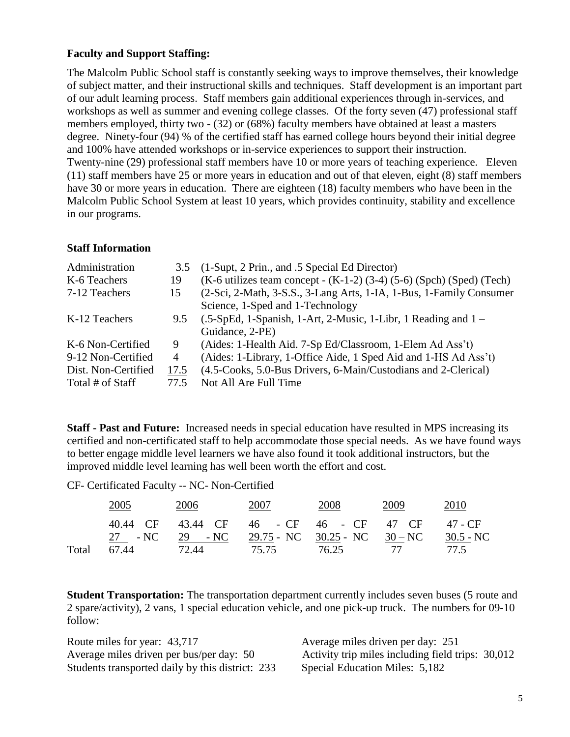# **Faculty and Support Staffing:**

The Malcolm Public School staff is constantly seeking ways to improve themselves, their knowledge of subject matter, and their instructional skills and techniques. Staff development is an important part of our adult learning process. Staff members gain additional experiences through in-services, and workshops as well as summer and evening college classes. Of the forty seven (47) professional staff members employed, thirty two - (32) or (68%) faculty members have obtained at least a masters degree. Ninety-four (94) % of the certified staff has earned college hours beyond their initial degree and 100% have attended workshops or in-service experiences to support their instruction. Twenty-nine (29) professional staff members have 10 or more years of teaching experience. Eleven (11) staff members have 25 or more years in education and out of that eleven, eight (8) staff members have 30 or more years in education. There are eighteen (18) faculty members who have been in the Malcolm Public School System at least 10 years, which provides continuity, stability and excellence in our programs.

# **Staff Information**

| Administration      | $3.5 -$ | (1-Supt, 2 Prin., and .5 Special Ed Director)                              |
|---------------------|---------|----------------------------------------------------------------------------|
| K-6 Teachers        | 19      | $(K-6)$ utilizes team concept - $(K-1-2)$ (3-4) (5-6) (Spch) (Sped) (Tech) |
| 7-12 Teachers       | 15      | (2-Sci, 2-Math, 3-S.S., 3-Lang Arts, 1-IA, 1-Bus, 1-Family Consumer        |
|                     |         | Science, 1-Sped and 1-Technology                                           |
| K-12 Teachers       | 9.5     | (.5-SpEd, 1-Spanish, 1-Art, 2-Music, 1-Libr, 1 Reading and 1 -             |
|                     |         | Guidance, 2-PE)                                                            |
| K-6 Non-Certified   | 9       | (Aides: 1-Health Aid. 7-Sp Ed/Classroom, 1-Elem Ad Ass't)                  |
| 9-12 Non-Certified  | 4       | (Aides: 1-Library, 1-Office Aide, 1 Sped Aid and 1-HS Ad Ass't)            |
| Dist. Non-Certified | 17.5    | (4.5-Cooks, 5.0-Bus Drivers, 6-Main/Custodians and 2-Clerical)             |
| Total # of Staff    | 77.5    | Not All Are Full Time                                                      |

**Staff - Past and Future:** Increased needs in special education have resulted in MPS increasing its certified and non-certificated staff to help accommodate those special needs. As we have found ways to better engage middle level learners we have also found it took additional instructors, but the improved middle level learning has well been worth the effort and cost.

CF- Certificated Faculty -- NC- Non-Certified

|       | 2005 | 2006                                                                                                                   | 2007 | 2008 | 2009 | 2010        |
|-------|------|------------------------------------------------------------------------------------------------------------------------|------|------|------|-------------|
|       |      | $40.44 - CF$ $43.44 - CF$ $46$ $- CF$ $46$ $- CF$ $47 - CF$ $47 - CF$<br>27 - NC 29 - NC 29.75 - NC 30.25 - NC 30 - NC |      |      |      | $30.5 - NC$ |
| Total |      | 67.44 72.44 75.75 76.25 77                                                                                             |      |      |      | 77.5        |

**Student Transportation:** The transportation department currently includes seven buses (5 route and 2 spare/activity), 2 vans, 1 special education vehicle, and one pick-up truck. The numbers for 09-10 follow:

Route miles for year: 43,717 Average miles driven per day: 251 Students transported daily by this district: 233 Special Education Miles: 5,182

Average miles driven per bus/per day: 50 Activity trip miles including field trips: 30,012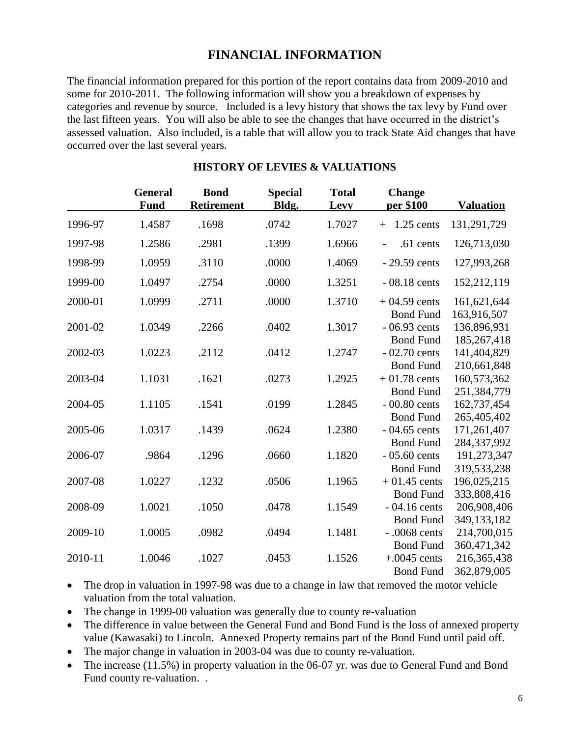# **FINANCIAL INFORMATION**

The financial information prepared for this portion of the report contains data from 2009-2010 and some for 2010-2011. The following information will show you a breakdown of expenses by categories and revenue by source. Included is a levy history that shows the tax levy by Fund over the last fifteen years. You will also be able to see the changes that have occurred in the district's assessed valuation. Also included, is a table that will allow you to track State Aid changes that have occurred over the last several years.

|         | <b>General</b><br><b>Fund</b> | <b>Bond</b><br><b>Retirement</b> | <b>Special</b><br>Bldg. | <b>Total</b><br>Levy | <b>Change</b><br>per \$100                             | <b>Valuation</b>                          |
|---------|-------------------------------|----------------------------------|-------------------------|----------------------|--------------------------------------------------------|-------------------------------------------|
| 1996-97 | 1.4587                        | .1698                            | .0742                   | 1.7027               | $1.25$ cents<br>$+$                                    | 131,291,729                               |
| 1997-98 | 1.2586                        | .2981                            | .1399                   | 1.6966               | .61 cents                                              | 126,713,030                               |
| 1998-99 | 1.0959                        | .3110                            | .0000                   | 1.4069               | $-29.59$ cents                                         | 127,993,268                               |
| 1999-00 | 1.0497                        | .2754                            | .0000                   | 1.3251               | $-08.18$ cents                                         | 152,212,119                               |
| 2000-01 | 1.0999                        | .2711                            | .0000                   | 1.3710               | $+04.59$ cents<br><b>Bond Fund</b>                     | 161,621,644<br>163,916,507                |
| 2001-02 | 1.0349                        | .2266                            | .0402                   | 1.3017               | $-06.93$ cents                                         | 136,896,931                               |
| 2002-03 | 1.0223                        | .2112                            | .0412                   | 1.2747               | <b>Bond Fund</b><br>$-02.70$ cents<br><b>Bond Fund</b> | 185,267,418<br>141,404,829                |
| 2003-04 | 1.1031                        | .1621                            | .0273                   | 1.2925               | $+01.78$ cents                                         | 210,661,848<br>160,573,362                |
| 2004-05 | 1.1105                        | .1541                            | .0199                   | 1.2845               | <b>Bond Fund</b><br>$-00.80$ cents<br><b>Bond Fund</b> | 251,384,779<br>162,737,454<br>265,405,402 |
| 2005-06 | 1.0317                        | .1439                            | .0624                   | 1.2380               | $-04.65$ cents<br><b>Bond Fund</b>                     | 171,261,407<br>284,337,992                |
| 2006-07 | .9864                         | .1296                            | .0660                   | 1.1820               | $-05.60$ cents<br><b>Bond Fund</b>                     | 191,273,347<br>319,533,238                |
| 2007-08 | 1.0227                        | .1232                            | .0506                   | 1.1965               | $+01.45$ cents<br><b>Bond Fund</b>                     | 196,025,215<br>333,808,416                |
| 2008-09 | 1.0021                        | .1050                            | .0478                   | 1.1549               | $-04.16$ cents<br><b>Bond Fund</b>                     | 206,908,406                               |
| 2009-10 | 1.0005                        | .0982                            | .0494                   | 1.1481               | $-.0068$ cents                                         | 349,133,182<br>214,700,015                |
| 2010-11 | 1.0046                        | .1027                            | .0453                   | 1.1526               | <b>Bond Fund</b><br>$+.0045$ cents<br><b>Bond Fund</b> | 360,471,342<br>216,365,438<br>362,879,005 |

# **HISTORY OF LEVIES & VALUATIONS**

• The drop in valuation in 1997-98 was due to a change in law that removed the motor vehicle valuation from the total valuation.

- The change in 1999-00 valuation was generally due to county re-valuation
- The difference in value between the General Fund and Bond Fund is the loss of annexed property value (Kawasaki) to Lincoln. Annexed Property remains part of the Bond Fund until paid off.
- The major change in valuation in 2003-04 was due to county re-valuation.
- The increase (11.5%) in property valuation in the 06-07 yr. was due to General Fund and Bond Fund county re-valuation. .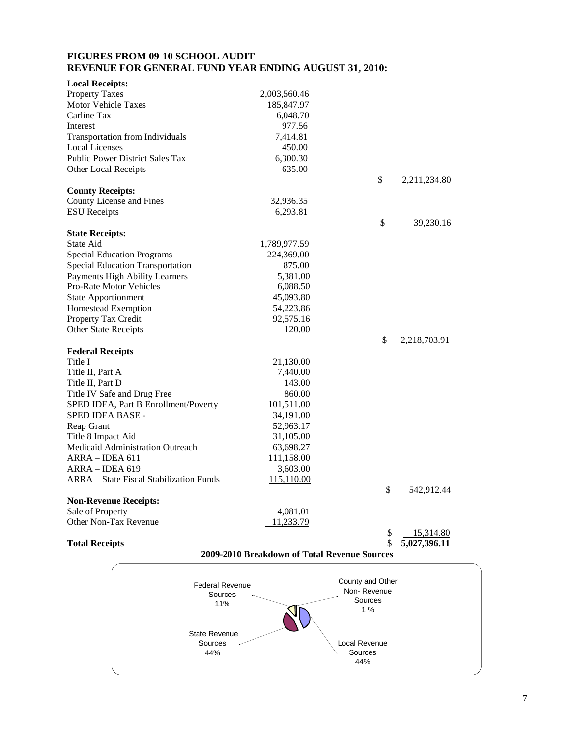#### **FIGURES FROM 09-10 SCHOOL AUDIT REVENUE FOR GENERAL FUND YEAR ENDING AUGUST 31, 2010:**

| <b>Local Receipts:</b>                  |              |                    |
|-----------------------------------------|--------------|--------------------|
| <b>Property Taxes</b>                   | 2,003,560.46 |                    |
| <b>Motor Vehicle Taxes</b>              | 185,847.97   |                    |
| Carline Tax                             | 6,048.70     |                    |
| Interest                                | 977.56       |                    |
| Transportation from Individuals         | 7,414.81     |                    |
| <b>Local Licenses</b>                   | 450.00       |                    |
| <b>Public Power District Sales Tax</b>  | 6,300.30     |                    |
| Other Local Receipts                    | 635.00       |                    |
|                                         |              | \$<br>2,211,234.80 |
| <b>County Receipts:</b>                 |              |                    |
| County License and Fines                | 32,936.35    |                    |
| <b>ESU</b> Receipts                     | 6,293.81     |                    |
|                                         |              | \$<br>39,230.16    |
| <b>State Receipts:</b>                  |              |                    |
| State Aid                               | 1,789,977.59 |                    |
| <b>Special Education Programs</b>       | 224,369.00   |                    |
| <b>Special Education Transportation</b> | 875.00       |                    |
| <b>Payments High Ability Learners</b>   | 5,381.00     |                    |
| Pro-Rate Motor Vehicles                 | 6,088.50     |                    |
| <b>State Apportionment</b>              | 45,093.80    |                    |
| Homestead Exemption                     | 54,223.86    |                    |
| Property Tax Credit                     | 92,575.16    |                    |
| Other State Receipts                    | 120.00       |                    |
|                                         |              | \$<br>2,218,703.91 |
| <b>Federal Receipts</b>                 |              |                    |
| Title I                                 | 21,130.00    |                    |
| Title II, Part A                        | 7,440.00     |                    |
| Title II, Part D                        | 143.00       |                    |
| Title IV Safe and Drug Free             | 860.00       |                    |
| SPED IDEA, Part B Enrollment/Poverty    | 101,511.00   |                    |
| <b>SPED IDEA BASE -</b>                 | 34,191.00    |                    |
| Reap Grant                              | 52,963.17    |                    |
| Title 8 Impact Aid                      | 31,105.00    |                    |
| Medicaid Administration Outreach        | 63,698.27    |                    |
| $ARRA - IDEA 611$                       | 111,158.00   |                    |
| ARRA - IDEA 619                         | 3,603.00     |                    |
| ARRA - State Fiscal Stabilization Funds | 115,110.00   |                    |
|                                         |              | \$<br>542,912.44   |
| <b>Non-Revenue Receipts:</b>            |              |                    |
| Sale of Property                        | 4,081.01     |                    |
| Other Non-Tax Revenue                   | 11,233.79    |                    |
|                                         |              | \$<br>15,314.80    |
| <b>Total Receipts</b>                   |              | \$<br>5,027,396.11 |

#### **2009-2010 Breakdown of Total Revenue Sources**

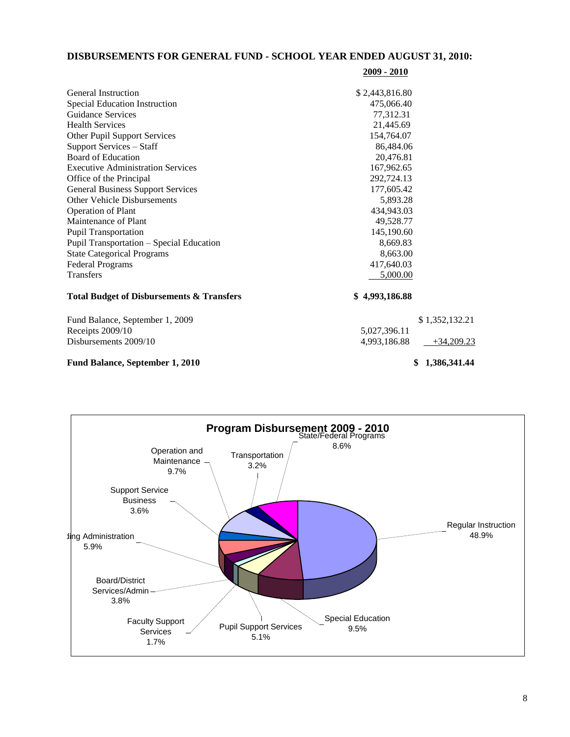#### **DISBURSEMENTS FOR GENERAL FUND - SCHOOL YEAR ENDED AUGUST 31, 2010:**

| <b>General Instruction</b>                           | \$2,443,816.80 |                |
|------------------------------------------------------|----------------|----------------|
| Special Education Instruction                        | 475,066.40     |                |
| Guidance Services                                    | 77,312.31      |                |
| <b>Health Services</b>                               | 21,445.69      |                |
| Other Pupil Support Services                         | 154,764.07     |                |
| Support Services - Staff                             | 86,484.06      |                |
| Board of Education                                   | 20,476.81      |                |
| <b>Executive Administration Services</b>             | 167,962.65     |                |
| Office of the Principal                              | 292,724.13     |                |
| <b>General Business Support Services</b>             | 177,605.42     |                |
| <b>Other Vehicle Disbursements</b>                   | 5,893.28       |                |
| Operation of Plant                                   | 434,943.03     |                |
| Maintenance of Plant                                 | 49,528.77      |                |
| <b>Pupil Transportation</b>                          | 145,190.60     |                |
| Pupil Transportation - Special Education             | 8,669.83       |                |
| <b>State Categorical Programs</b>                    | 8,663.00       |                |
| <b>Federal Programs</b>                              | 417,640.03     |                |
| <b>Transfers</b>                                     | 5,000.00       |                |
| <b>Total Budget of Disbursements &amp; Transfers</b> | \$4,993,186.88 |                |
| Fund Balance, September 1, 2009                      |                | \$1,352,132.21 |
| Receipts 2009/10                                     | 5,027,396.11   |                |
| Disbursements 2009/10                                | 4,993,186.88   | $+34,209.23$   |

#### **Fund Balance, September 1, 2010** \$ 1,386,341.44

 **2009 - 2010**

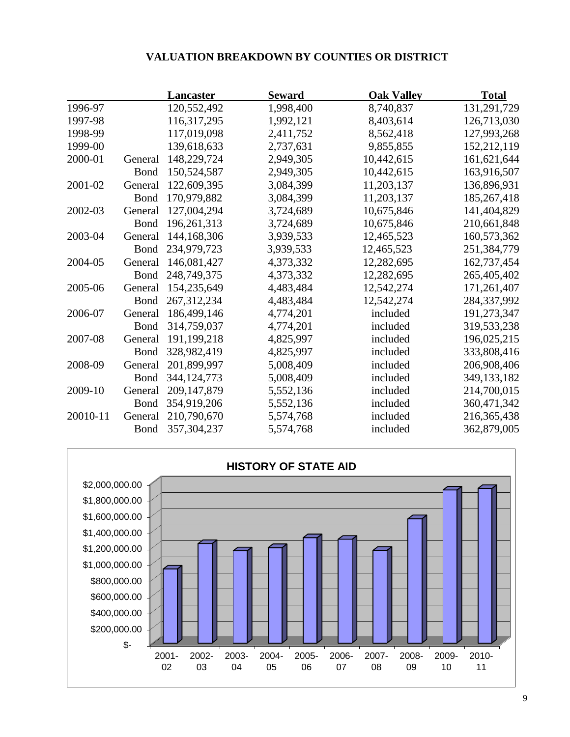# **VALUATION BREAKDOWN BY COUNTIES OR DISTRICT**

|          |             | Lancaster     | <b>Seward</b> | <b>Oak Valley</b> | <b>Total</b> |
|----------|-------------|---------------|---------------|-------------------|--------------|
| 1996-97  |             | 120,552,492   | 1,998,400     | 8,740,837         | 131,291,729  |
| 1997-98  |             | 116,317,295   | 1,992,121     | 8,403,614         | 126,713,030  |
| 1998-99  |             | 117,019,098   | 2,411,752     | 8,562,418         | 127,993,268  |
| 1999-00  |             | 139,618,633   | 2,737,631     | 9,855,855         | 152,212,119  |
| 2000-01  | General     | 148,229,724   | 2,949,305     | 10,442,615        | 161,621,644  |
|          | Bond        | 150,524,587   | 2,949,305     | 10,442,615        | 163,916,507  |
| 2001-02  | General     | 122,609,395   | 3,084,399     | 11,203,137        | 136,896,931  |
|          | Bond        | 170,979,882   | 3,084,399     | 11,203,137        | 185,267,418  |
| 2002-03  | General     | 127,004,294   | 3,724,689     | 10,675,846        | 141,404,829  |
|          | Bond        | 196,261,313   | 3,724,689     | 10,675,846        | 210,661,848  |
| 2003-04  | General     | 144,168,306   | 3,939,533     | 12,465,523        | 160,573,362  |
|          | Bond        | 234,979,723   | 3,939,533     | 12,465,523        | 251,384,779  |
| 2004-05  | General     | 146,081,427   | 4,373,332     | 12,282,695        | 162,737,454  |
|          | Bond        | 248,749,375   | 4,373,332     | 12,282,695        | 265,405,402  |
| 2005-06  | General     | 154,235,649   | 4,483,484     | 12,542,274        | 171,261,407  |
|          | Bond        | 267, 312, 234 | 4,483,484     | 12,542,274        | 284,337,992  |
| 2006-07  | General     | 186,499,146   | 4,774,201     | included          | 191,273,347  |
|          | Bond        | 314,759,037   | 4,774,201     | included          | 319,533,238  |
| 2007-08  | General     | 191,199,218   | 4,825,997     | included          | 196,025,215  |
|          | Bond        | 328,982,419   | 4,825,997     | included          | 333,808,416  |
| 2008-09  | General     | 201,899,997   | 5,008,409     | included          | 206,908,406  |
|          | <b>Bond</b> | 344, 124, 773 | 5,008,409     | included          | 349,133,182  |
| 2009-10  | General     | 209,147,879   | 5,552,136     | included          | 214,700,015  |
|          | Bond        | 354,919,206   | 5,552,136     | included          | 360,471,342  |
| 20010-11 | General     | 210,790,670   | 5,574,768     | included          | 216,365,438  |
|          | Bond        | 357, 304, 237 | 5,574,768     | included          | 362,879,005  |

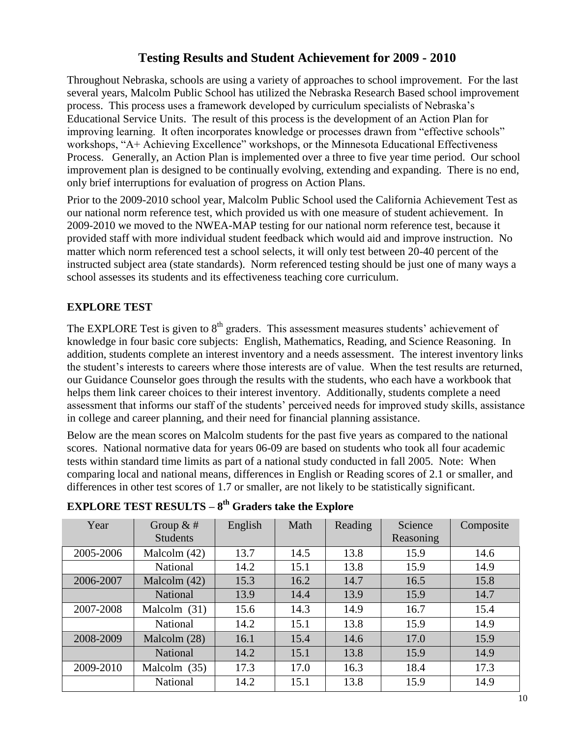# **Testing Results and Student Achievement for 2009 - 2010**

Throughout Nebraska, schools are using a variety of approaches to school improvement. For the last several years, Malcolm Public School has utilized the Nebraska Research Based school improvement process. This process uses a framework developed by curriculum specialists of Nebraska's Educational Service Units. The result of this process is the development of an Action Plan for improving learning. It often incorporates knowledge or processes drawn from "effective schools" workshops, "A+ Achieving Excellence" workshops, or the Minnesota Educational Effectiveness Process. Generally, an Action Plan is implemented over a three to five year time period. Our school improvement plan is designed to be continually evolving, extending and expanding. There is no end, only brief interruptions for evaluation of progress on Action Plans.

Prior to the 2009-2010 school year, Malcolm Public School used the California Achievement Test as our national norm reference test, which provided us with one measure of student achievement. In 2009-2010 we moved to the NWEA-MAP testing for our national norm reference test, because it provided staff with more individual student feedback which would aid and improve instruction. No matter which norm referenced test a school selects, it will only test between 20-40 percent of the instructed subject area (state standards). Norm referenced testing should be just one of many ways a school assesses its students and its effectiveness teaching core curriculum.

# **EXPLORE TEST**

The EXPLORE Test is given to  $8<sup>th</sup>$  graders. This assessment measures students' achievement of knowledge in four basic core subjects: English, Mathematics, Reading, and Science Reasoning. In addition, students complete an interest inventory and a needs assessment. The interest inventory links the student's interests to careers where those interests are of value. When the test results are returned, our Guidance Counselor goes through the results with the students, who each have a workbook that helps them link career choices to their interest inventory. Additionally, students complete a need assessment that informs our staff of the students' perceived needs for improved study skills, assistance in college and career planning, and their need for financial planning assistance.

Below are the mean scores on Malcolm students for the past five years as compared to the national scores. National normative data for years 06-09 are based on students who took all four academic tests within standard time limits as part of a national study conducted in fall 2005. Note: When comparing local and national means, differences in English or Reading scores of 2.1 or smaller, and differences in other test scores of 1.7 or smaller, are not likely to be statistically significant.

| Year | Group $&#</math><br><b>Students</b></th><th>English</th><th>Math</th><th>Reading</th><th>Science<br>Reasoning</th><th>Composite</th></tr><tr><td>2005-2006</td><td>Malcolm <math>(42)</math></td><td>13.7</td><td>14.5</td><td>13.8</td><td>15.9</td><td>14.6</td></tr><tr><td></td><td><b>National</b></td><td>14.2</td><td>15.1</td><td>13.8</td><td>15.9</td><td>14.9</td></tr><tr><td>2006-2007</td><td>Malcolm <math>(42)</math></td><td>15.3</td><td>16.2</td><td>14.7</td><td>16.5</td><td>15.8</td></tr><tr><td></td><td><b>National</b></td><td>13.9</td><td>14.4</td><td>13.9</td><td>15.9</td><td>14.7</td></tr><tr><td>2007-2008</td><td>Malcolm (31)</td><td>15.6</td><td>14.3</td><td>14.9</td><td>16.7</td><td>15.4</td></tr><tr><td></td><td><b>National</b></td><td>14.2</td><td>15.1</td><td>13.8</td><td>15.9</td><td>14.9</td></tr><tr><td>2008-2009</td><td>Malcolm (28)</td><td>16.1</td><td>15.4</td><td>14.6</td><td>17.0</td><td>15.9</td></tr><tr><td></td><td><b>National</b></td><td>14.2</td><td>15.1</td><td>13.8</td><td>15.9</td><td>14.9</td></tr><tr><td>2009-2010</td><td>Malcolm (35)</td><td>17.3</td><td>17.0</td><td>16.3</td><td>18.4</td><td>17.3</td></tr><tr><td></td><td>National</td><td>14.2</td><td>15.1</td><td>13.8</td><td>15.9</td><td>14.9</td></tr></tbody></table>$ |
|------|---------------------------------------------------------------------------------------------------------------------------------------------------------------------------------------------------------------------------------------------------------------------------------------------------------------------------------------------------------------------------------------------------------------------------------------------------------------------------------------------------------------------------------------------------------------------------------------------------------------------------------------------------------------------------------------------------------------------------------------------------------------------------------------------------------------------------------------------------------------------------------------------------------------------------------------------------------------------------------------------------------------------------------------------------------------------------------------------------------------------------------------------------------------------------------------------------------------------------------------------------------------------------------------------------------------------------|
|------|---------------------------------------------------------------------------------------------------------------------------------------------------------------------------------------------------------------------------------------------------------------------------------------------------------------------------------------------------------------------------------------------------------------------------------------------------------------------------------------------------------------------------------------------------------------------------------------------------------------------------------------------------------------------------------------------------------------------------------------------------------------------------------------------------------------------------------------------------------------------------------------------------------------------------------------------------------------------------------------------------------------------------------------------------------------------------------------------------------------------------------------------------------------------------------------------------------------------------------------------------------------------------------------------------------------------------|

# **EXPLORE TEST RESULTS – 8 th Graders take the Explore**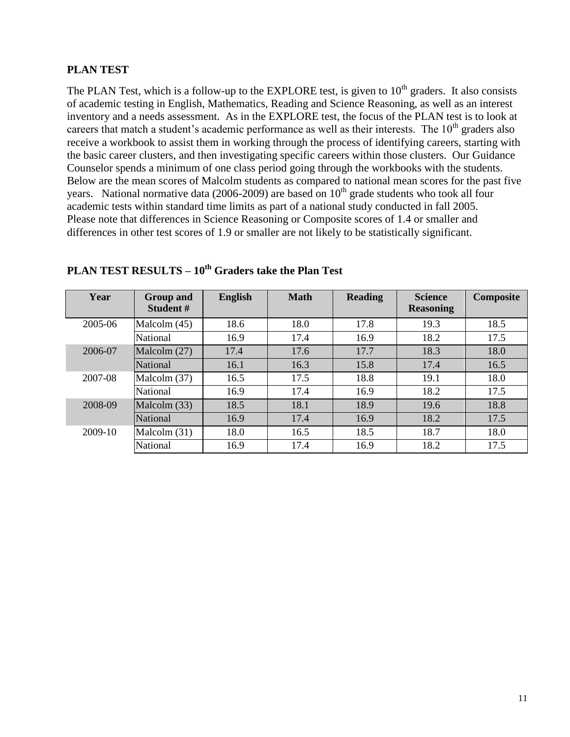# **PLAN TEST**

The PLAN Test, which is a follow-up to the EXPLORE test, is given to 10<sup>th</sup> graders. It also consists of academic testing in English, Mathematics, Reading and Science Reasoning, as well as an interest inventory and a needs assessment. As in the EXPLORE test, the focus of the PLAN test is to look at careers that match a student's academic performance as well as their interests. The  $10<sup>th</sup>$  graders also receive a workbook to assist them in working through the process of identifying careers, starting with the basic career clusters, and then investigating specific careers within those clusters. Our Guidance Counselor spends a minimum of one class period going through the workbooks with the students. Below are the mean scores of Malcolm students as compared to national mean scores for the past five years. National normative data (2006-2009) are based on  $10<sup>th</sup>$  grade students who took all four academic tests within standard time limits as part of a national study conducted in fall 2005. Please note that differences in Science Reasoning or Composite scores of 1.4 or smaller and differences in other test scores of 1.9 or smaller are not likely to be statistically significant.

| Year    | <b>Group and</b><br>Student # | <b>English</b> | <b>Math</b> | <b>Reading</b> | <b>Science</b><br><b>Reasoning</b> | Composite |
|---------|-------------------------------|----------------|-------------|----------------|------------------------------------|-----------|
| 2005-06 | Malcolm (45)                  | 18.6           | 18.0        | 17.8           | 19.3                               | 18.5      |
|         | National                      | 16.9           | 17.4        | 16.9           | 18.2                               | 17.5      |
| 2006-07 | Malcolm $(27)$                | 17.4           | 17.6        | 17.7           | 18.3                               | 18.0      |
|         | National                      | 16.1           | 16.3        | 15.8           | 17.4                               | 16.5      |
| 2007-08 | Malcolm (37)                  | 16.5           | 17.5        | 18.8           | 19.1                               | 18.0      |
|         | <b>National</b>               | 16.9           | 17.4        | 16.9           | 18.2                               | 17.5      |
| 2008-09 | Malcolm (33)                  | 18.5           | 18.1        | 18.9           | 19.6                               | 18.8      |
|         | National                      | 16.9           | 17.4        | 16.9           | 18.2                               | 17.5      |
| 2009-10 | Malcolm $(31)$                | 18.0           | 16.5        | 18.5           | 18.7                               | 18.0      |
|         | National                      | 16.9           | 17.4        | 16.9           | 18.2                               | 17.5      |

# **PLAN TEST RESULTS – 10th Graders take the Plan Test**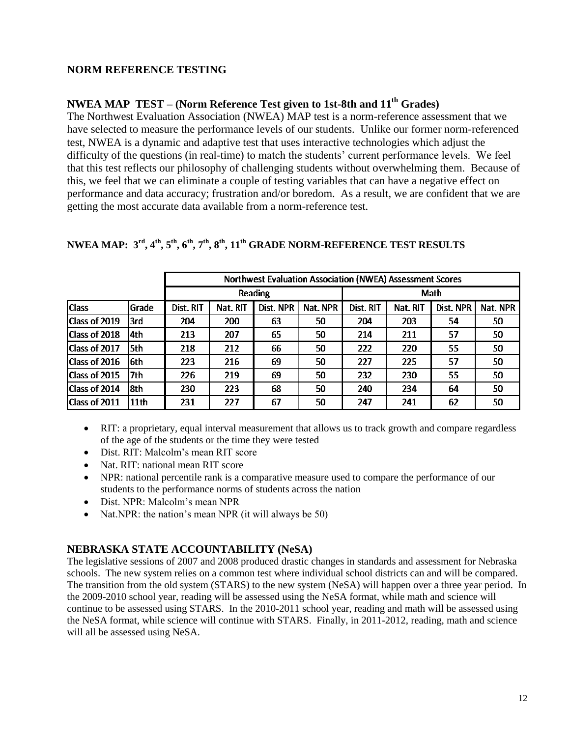# **NORM REFERENCE TESTING**

# **NWEA MAP TEST – (Norm Reference Test given to 1st-8th and 11th Grades)**

The Northwest Evaluation Association (NWEA) MAP test is a norm-reference assessment that we have selected to measure the performance levels of our students. Unlike our former norm-referenced test, NWEA is a dynamic and adaptive test that uses interactive technologies which adjust the difficulty of the questions (in real-time) to match the students' current performance levels. We feel that this test reflects our philosophy of challenging students without overwhelming them. Because of this, we feel that we can eliminate a couple of testing variables that can have a negative effect on performance and data accuracy; frustration and/or boredom. As a result, we are confident that we are getting the most accurate data available from a norm-reference test.

|               |                  | <b>Northwest Evaluation Association (NWEA) Assessment Scores</b> |          |           |          |           |          |           |          |
|---------------|------------------|------------------------------------------------------------------|----------|-----------|----------|-----------|----------|-----------|----------|
|               |                  |                                                                  | Reading  |           |          | Math      |          |           |          |
| <b>Class</b>  | Grade            | Dist. RIT                                                        | Nat. RIT | Dist. NPR | Nat. NPR | Dist. RIT | Nat. RIT | Dist. NPR | Nat. NPR |
| Class of 2019 | 3rd              | 204                                                              | 200      | 63        | 50       | 204       | 203      | 54        | 50       |
| Class of 2018 | l4th             | 213                                                              | 207      | 65        | 50       | 214       | 211      | 57        | 50       |
| Class of 2017 | 5th              | 218                                                              | 212      | 66        | 50       | 222       | 220      | 55        | 50       |
| Class of 2016 | 6th              | 223                                                              | 216      | 69        | 50       | 227       | 225      | 57        | 50       |
| Class of 2015 | 7th              | 226                                                              | 219      | 69        | 50       | 232       | 230      | 55        | 50       |
| Class of 2014 | l8th.            | 230                                                              | 223      | 68        | 50       | 240       | 234      | 64        | 50       |
| Class of 2011 | 11 <sub>th</sub> | 231                                                              | 227      | 67        | 50       | 247       | 241      | 62        | 50       |

# **NWEA MAP: 3rd, 4th, 5th, 6th, 7th, 8th, 11th GRADE NORM-REFERENCE TEST RESULTS**

- RIT: a proprietary, equal interval measurement that allows us to track growth and compare regardless of the age of the students or the time they were tested
- Dist. RIT: Malcolm's mean RIT score
- Nat. RIT: national mean RIT score
- NPR: national percentile rank is a comparative measure used to compare the performance of our students to the performance norms of students across the nation
- Dist. NPR: Malcolm's mean NPR
- Nat. NPR: the nation's mean NPR (it will always be 50)

#### **NEBRASKA STATE ACCOUNTABILITY (NeSA)**

The legislative sessions of 2007 and 2008 produced drastic changes in standards and assessment for Nebraska schools. The new system relies on a common test where individual school districts can and will be compared. The transition from the old system (STARS) to the new system (NeSA) will happen over a three year period. In the 2009-2010 school year, reading will be assessed using the NeSA format, while math and science will continue to be assessed using STARS. In the 2010-2011 school year, reading and math will be assessed using the NeSA format, while science will continue with STARS. Finally, in 2011-2012, reading, math and science will all be assessed using NeSA.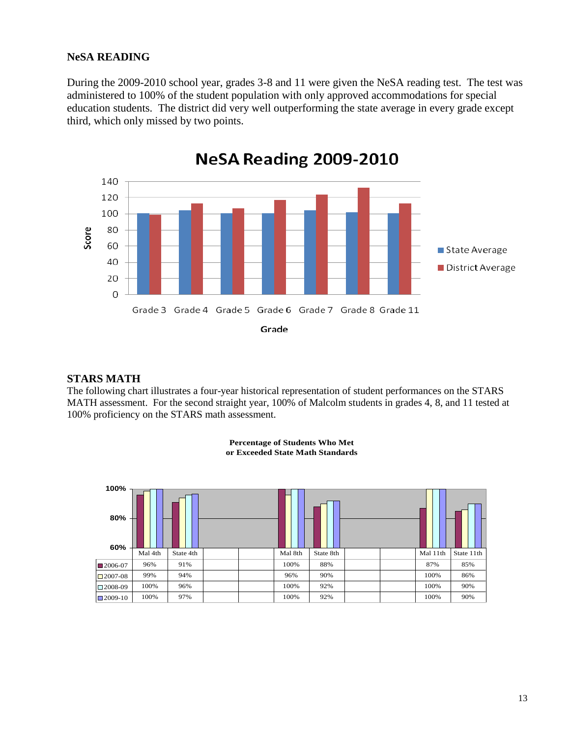# **NeSA READING**

During the 2009-2010 school year, grades 3-8 and 11 were given the NeSA reading test. The test was administered to 100% of the student population with only approved accommodations for special education students. The district did very well outperforming the state average in every grade except third, which only missed by two points.



#### **STARS MATH**

The following chart illustrates a four-year historical representation of student performances on the STARS MATH assessment. For the second straight year, 100% of Malcolm students in grades 4, 8, and 11 tested at 100% proficiency on the STARS math assessment.

**Percentage of Students Who Met** 

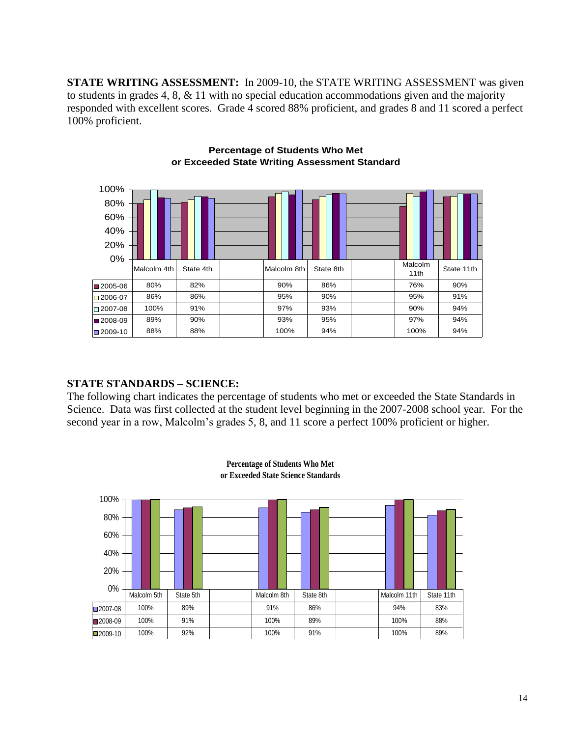**STATE WRITING ASSESSMENT:** In 2009-10, the STATE WRITING ASSESSMENT was given to students in grades 4, 8, & 11 with no special education accommodations given and the majority responded with excellent scores. Grade 4 scored 88% proficient, and grades 8 and 11 scored a perfect 100% proficient.



#### **Percentage of Students Who Met or Exceeded State Writing Assessment Standard**

# **STATE STANDARDS – SCIENCE:**

The following chart indicates the percentage of students who met or exceeded the State Standards in Science. Data was first collected at the student level beginning in the 2007-2008 school year. For the second year in a row, Malcolm's grades 5, 8, and 11 score a perfect 100% proficient or higher.

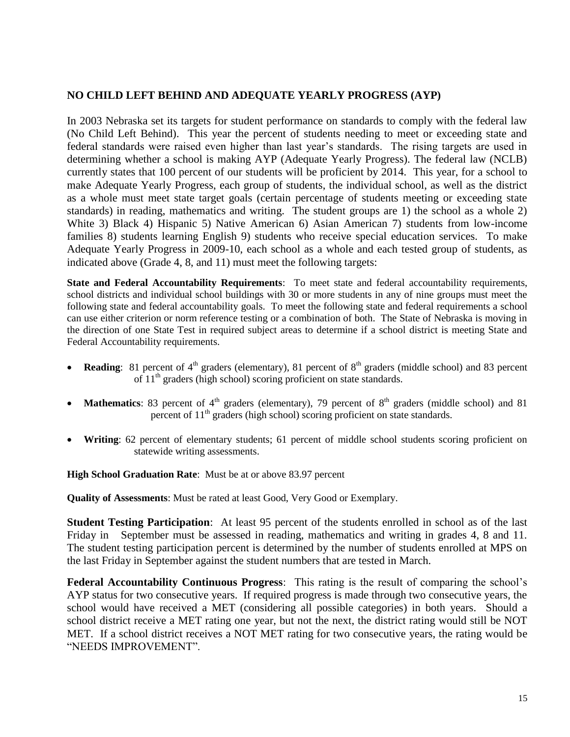# **NO CHILD LEFT BEHIND AND ADEQUATE YEARLY PROGRESS (AYP)**

In 2003 Nebraska set its targets for student performance on standards to comply with the federal law (No Child Left Behind). This year the percent of students needing to meet or exceeding state and federal standards were raised even higher than last year's standards. The rising targets are used in determining whether a school is making AYP (Adequate Yearly Progress). The federal law (NCLB) currently states that 100 percent of our students will be proficient by 2014. This year, for a school to make Adequate Yearly Progress, each group of students, the individual school, as well as the district as a whole must meet state target goals (certain percentage of students meeting or exceeding state standards) in reading, mathematics and writing. The student groups are 1) the school as a whole 2) White 3) Black 4) Hispanic 5) Native American 6) Asian American 7) students from low-income families 8) students learning English 9) students who receive special education services. To make Adequate Yearly Progress in 2009-10, each school as a whole and each tested group of students, as indicated above (Grade 4, 8, and 11) must meet the following targets:

**State and Federal Accountability Requirements**: To meet state and federal accountability requirements, school districts and individual school buildings with 30 or more students in any of nine groups must meet the following state and federal accountability goals. To meet the following state and federal requirements a school can use either criterion or norm reference testing or a combination of both. The State of Nebraska is moving in the direction of one State Test in required subject areas to determine if a school district is meeting State and Federal Accountability requirements.

- **Reading**: 81 percent of  $4<sup>th</sup>$  graders (elementary), 81 percent of  $8<sup>th</sup>$  graders (middle school) and 83 percent of 11<sup>th</sup> graders (high school) scoring proficient on state standards.
- Mathematics: 83 percent of 4<sup>th</sup> graders (elementary), 79 percent of 8<sup>th</sup> graders (middle school) and 81 percent of 11<sup>th</sup> graders (high school) scoring proficient on state standards.
- **Writing**: 62 percent of elementary students; 61 percent of middle school students scoring proficient on statewide writing assessments.

**High School Graduation Rate**: Must be at or above 83.97 percent

**Quality of Assessments**: Must be rated at least Good, Very Good or Exemplary.

**Student Testing Participation**: At least 95 percent of the students enrolled in school as of the last Friday in September must be assessed in reading, mathematics and writing in grades 4, 8 and 11. The student testing participation percent is determined by the number of students enrolled at MPS on the last Friday in September against the student numbers that are tested in March.

**Federal Accountability Continuous Progress**: This rating is the result of comparing the school's AYP status for two consecutive years. If required progress is made through two consecutive years, the school would have received a MET (considering all possible categories) in both years. Should a school district receive a MET rating one year, but not the next, the district rating would still be NOT MET. If a school district receives a NOT MET rating for two consecutive years, the rating would be "NEEDS IMPROVEMENT".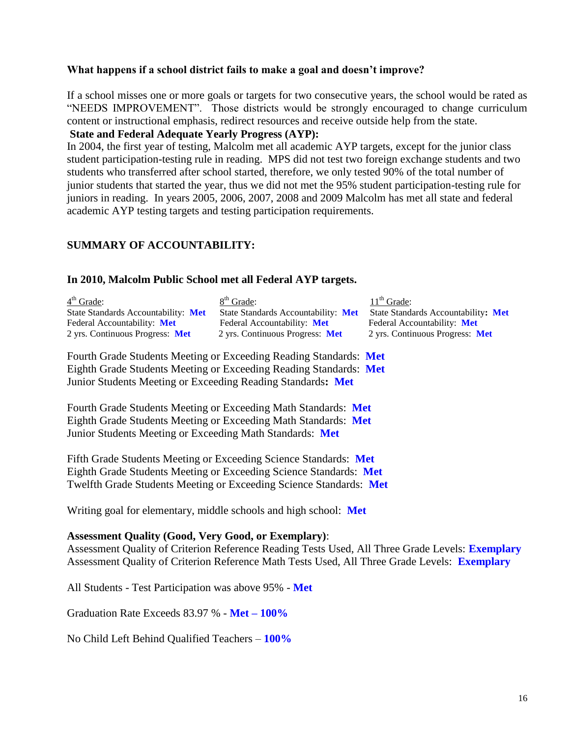# **What happens if a school district fails to make a goal and doesn't improve?**

If a school misses one or more goals or targets for two consecutive years, the school would be rated as "NEEDS IMPROVEMENT". Those districts would be strongly encouraged to change curriculum content or instructional emphasis, redirect resources and receive outside help from the state.

# **State and Federal Adequate Yearly Progress (AYP):**

In 2004, the first year of testing, Malcolm met all academic AYP targets, except for the junior class student participation-testing rule in reading. MPS did not test two foreign exchange students and two students who transferred after school started, therefore, we only tested 90% of the total number of junior students that started the year, thus we did not met the 95% student participation-testing rule for juniors in reading. In years 2005, 2006, 2007, 2008 and 2009 Malcolm has met all state and federal academic AYP testing targets and testing participation requirements.

# **SUMMARY OF ACCOUNTABILITY:**

# **In 2010, Malcolm Public School met all Federal AYP targets.**

| 4 <sup>th</sup> Grade:              | 8 <sup>th</sup> Grade:              | $11th$ Grade:                       |
|-------------------------------------|-------------------------------------|-------------------------------------|
| State Standards Accountability: Met | State Standards Accountability: Met | State Standards Accountability: Met |
| Federal Accountability: Met         | Federal Accountability: Met         | Federal Accountability: Met         |
| 2 yrs. Continuous Progress: Met     | 2 yrs. Continuous Progress: Met     | 2 yrs. Continuous Progress: Met     |

Fourth Grade Students Meeting or Exceeding Reading Standards: **Met** Eighth Grade Students Meeting or Exceeding Reading Standards: **Met** Junior Students Meeting or Exceeding Reading Standards**: Met**

Fourth Grade Students Meeting or Exceeding Math Standards: **Met** Eighth Grade Students Meeting or Exceeding Math Standards: **Met** Junior Students Meeting or Exceeding Math Standards: **Met**

Fifth Grade Students Meeting or Exceeding Science Standards: **Met** Eighth Grade Students Meeting or Exceeding Science Standards: **Met** Twelfth Grade Students Meeting or Exceeding Science Standards: **Met**

Writing goal for elementary, middle schools and high school: **Met**

#### **Assessment Quality (Good, Very Good, or Exemplary)**:

Assessment Quality of Criterion Reference Reading Tests Used, All Three Grade Levels: **Exemplary** Assessment Quality of Criterion Reference Math Tests Used, All Three Grade Levels: **Exemplary**

All Students - Test Participation was above 95% - **Met**

Graduation Rate Exceeds 83.97 % - **Met – 100%**

No Child Left Behind Qualified Teachers – **100%**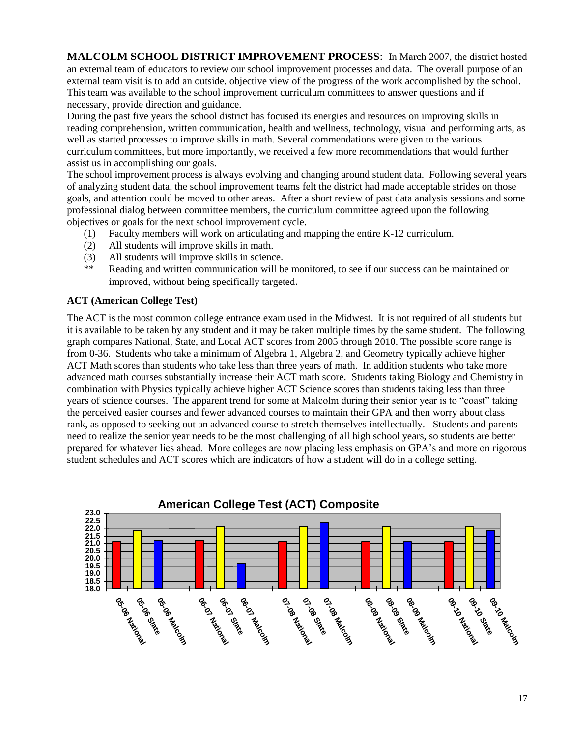**MALCOLM SCHOOL DISTRICT IMPROVEMENT PROCESS**: In March 2007, the district hosted an external team of educators to review our school improvement processes and data. The overall purpose of an external team visit is to add an outside, objective view of the progress of the work accomplished by the school. This team was available to the school improvement curriculum committees to answer questions and if necessary, provide direction and guidance.

During the past five years the school district has focused its energies and resources on improving skills in reading comprehension, written communication, health and wellness, technology, visual and performing arts, as well as started processes to improve skills in math. Several commendations were given to the various curriculum committees, but more importantly, we received a few more recommendations that would further assist us in accomplishing our goals.

The school improvement process is always evolving and changing around student data. Following several years of analyzing student data, the school improvement teams felt the district had made acceptable strides on those goals, and attention could be moved to other areas. After a short review of past data analysis sessions and some professional dialog between committee members, the curriculum committee agreed upon the following objectives or goals for the next school improvement cycle.

- (1) Faculty members will work on articulating and mapping the entire K-12 curriculum.
- (2) All students will improve skills in math.
- (3) All students will improve skills in science.
- \*\* Reading and written communication will be monitored, to see if our success can be maintained or improved, without being specifically targeted.

#### **ACT (American College Test)**

The ACT is the most common college entrance exam used in the Midwest. It is not required of all students but it is available to be taken by any student and it may be taken multiple times by the same student. The following graph compares National, State, and Local ACT scores from 2005 through 2010. The possible score range is from 0-36. Students who take a minimum of Algebra 1, Algebra 2, and Geometry typically achieve higher ACT Math scores than students who take less than three years of math. In addition students who take more advanced math courses substantially increase their ACT math score. Students taking Biology and Chemistry in combination with Physics typically achieve higher ACT Science scores than students taking less than three years of science courses. The apparent trend for some at Malcolm during their senior year is to "coast" taking the perceived easier courses and fewer advanced courses to maintain their GPA and then worry about class rank, as opposed to seeking out an advanced course to stretch themselves intellectually. Students and parents need to realize the senior year needs to be the most challenging of all high school years, so students are better prepared for whatever lies ahead. More colleges are now placing less emphasis on GPA's and more on rigorous student schedules and ACT scores which are indicators of how a student will do in a college setting.